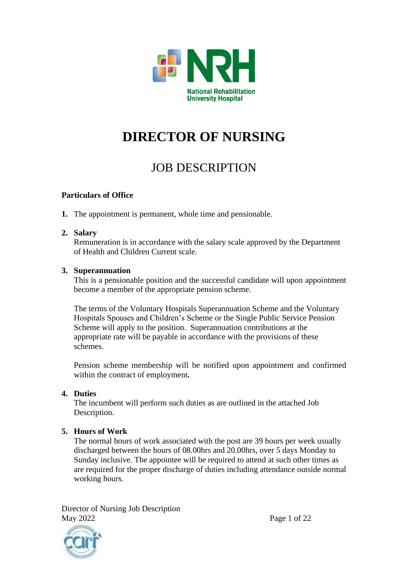

# **DIRECTOR OF NURSING**

# JOB DESCRIPTION

#### **Particulars of Office**

**1.** The appointment is permanent, whole time and pensionable.

#### **2. Salary**

Remuneration is in accordance with the salary scale approved by the Department of Health and Children Current scale.

#### **3. Superannuation**

This is a pensionable position and the successful candidate will upon appointment become a member of the appropriate pension scheme.

The terms of the Voluntary Hospitals Superannuation Scheme and the Voluntary Hospitals Spouses and Children's Scheme or the Single Public Service Pension Scheme will apply to the position. Superannuation contributions at the appropriate rate will be payable in accordance with the provisions of these schemes.

Pension scheme membership will be notified upon appointment and confirmed within the contract of employment**.**

#### **4. Duties**

The incumbent will perform such duties as are outlined in the attached Job Description.

#### **5. Hours of Work**

The normal hours of work associated with the post are 39 hours per week usually discharged between the hours of 08.00hrs and 20.00hrs, over 5 days Monday to Sunday inclusive. The appointee will be required to attend at such other times as are required for the proper discharge of duties including attendance outside normal working hours.

Director of Nursing Job Description May 2022 Page 1 of 22

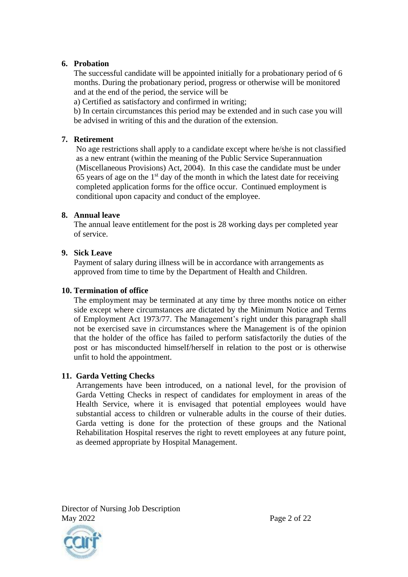#### **6. Probation**

The successful candidate will be appointed initially for a probationary period of 6 months. During the probationary period, progress or otherwise will be monitored and at the end of the period, the service will be

a) Certified as satisfactory and confirmed in writing;

b) In certain circumstances this period may be extended and in such case you will be advised in writing of this and the duration of the extension.

#### **7. Retirement**

No age restrictions shall apply to a candidate except where he/she is not classified as a new entrant (within the meaning of the Public Service Superannuation (Miscellaneous Provisions) Act, 2004). In this case the candidate must be under 65 years of age on the  $1<sup>st</sup>$  day of the month in which the latest date for receiving completed application forms for the office occur. Continued employment is conditional upon capacity and conduct of the employee.

#### **8. Annual leave**

The annual leave entitlement for the post is 28 working days per completed year of service.

#### **9. Sick Leave**

Payment of salary during illness will be in accordance with arrangements as approved from time to time by the Department of Health and Children.

#### **10. Termination of office**

The employment may be terminated at any time by three months notice on either side except where circumstances are dictated by the Minimum Notice and Terms of Employment Act 1973/77. The Management's right under this paragraph shall not be exercised save in circumstances where the Management is of the opinion that the holder of the office has failed to perform satisfactorily the duties of the post or has misconducted himself/herself in relation to the post or is otherwise unfit to hold the appointment.

#### **11. Garda Vetting Checks**

Arrangements have been introduced, on a national level, for the provision of Garda Vetting Checks in respect of candidates for employment in areas of the Health Service, where it is envisaged that potential employees would have substantial access to children or vulnerable adults in the course of their duties. Garda vetting is done for the protection of these groups and the National Rehabilitation Hospital reserves the right to revett employees at any future point, as deemed appropriate by Hospital Management.

Director of Nursing Job Description May 2022 Page 2 of 22

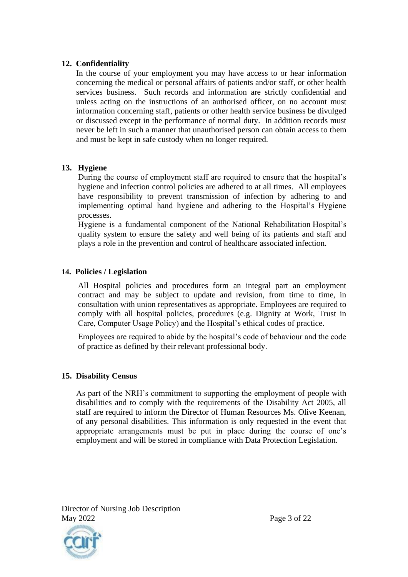#### **12. Confidentiality**

In the course of your employment you may have access to or hear information concerning the medical or personal affairs of patients and/or staff, or other health services business. Such records and information are strictly confidential and unless acting on the instructions of an authorised officer, on no account must information concerning staff, patients or other health service business be divulged or discussed except in the performance of normal duty. In addition records must never be left in such a manner that unauthorised person can obtain access to them and must be kept in safe custody when no longer required.

#### **13. Hygiene**

During the course of employment staff are required to ensure that the hospital's hygiene and infection control policies are adhered to at all times. All employees have responsibility to prevent transmission of infection by adhering to and implementing optimal hand hygiene and adhering to the Hospital's Hygiene processes.

Hygiene is a fundamental component of the National Rehabilitation Hospital's quality system to ensure the safety and well being of its patients and staff and plays a role in the prevention and control of healthcare associated infection.

#### **14. Policies / Legislation**

All Hospital policies and procedures form an integral part an employment contract and may be subject to update and revision, from time to time, in consultation with union representatives as appropriate. Employees are required to comply with all hospital policies, procedures (e.g. Dignity at Work, Trust in Care, Computer Usage Policy) and the Hospital's ethical codes of practice.

Employees are required to abide by the hospital's code of behaviour and the code of practice as defined by their relevant professional body.

#### **15. Disability Census**

As part of the NRH's commitment to supporting the employment of people with disabilities and to comply with the requirements of the Disability Act 2005, all staff are required to inform the Director of Human Resources Ms. Olive Keenan, of any personal disabilities. This information is only requested in the event that appropriate arrangements must be put in place during the course of one's employment and will be stored in compliance with Data Protection Legislation.

Director of Nursing Job Description May 2022 Page 3 of 22

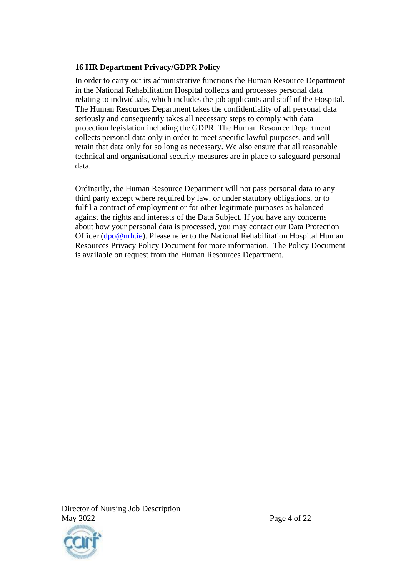#### **16 HR Department Privacy/GDPR Policy**

In order to carry out its administrative functions the Human Resource Department in the National Rehabilitation Hospital collects and processes personal data relating to individuals, which includes the job applicants and staff of the Hospital. The Human Resources Department takes the confidentiality of all personal data seriously and consequently takes all necessary steps to comply with data protection legislation including the GDPR. The Human Resource Department collects personal data only in order to meet specific lawful purposes, and will retain that data only for so long as necessary. We also ensure that all reasonable technical and organisational security measures are in place to safeguard personal data.

Ordinarily, the Human Resource Department will not pass personal data to any third party except where required by law, or under statutory obligations, or to fulfil a contract of employment or for other legitimate purposes as balanced against the rights and interests of the Data Subject. If you have any concerns about how your personal data is processed, you may contact our Data Protection Officer [\(dpo@nrh.ie\)](mailto:dpo@nrh.ie). Please refer to the National Rehabilitation Hospital Human Resources Privacy Policy Document for more information. The Policy Document is available on request from the Human Resources Department.



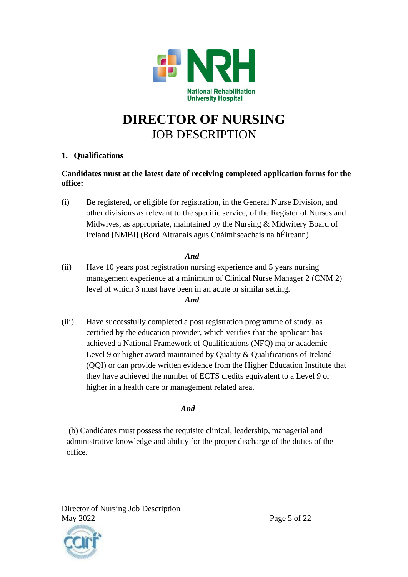

# **DIRECTOR OF NURSING** JOB DESCRIPTION

#### **1. Qualifications**

#### **Candidates must at the latest date of receiving completed application forms for the office:**

(i) Be registered, or eligible for registration, in the General Nurse Division, and other divisions as relevant to the specific service, of the Register of Nurses and Midwives, as appropriate, maintained by the Nursing & Midwifery Board of Ireland [NMBI] (Bord Altranais agus Cnáimhseachais na hÉireann).

### *And*

- (ii) Have 10 years post registration nursing experience and 5 years nursing management experience at a minimum of Clinical Nurse Manager 2 (CNM 2) level of which 3 must have been in an acute or similar setting. *And*
- (iii) Have successfully completed a post registration programme of study, as certified by the education provider, which verifies that the applicant has achieved a National Framework of Qualifications (NFQ) major academic Level 9 or higher award maintained by Quality & Qualifications of Ireland (QQI) or can provide written evidence from the Higher Education Institute that they have achieved the number of ECTS credits equivalent to a Level 9 or higher in a health care or management related area.

#### *And*

(b) Candidates must possess the requisite clinical, leadership, managerial and administrative knowledge and ability for the proper discharge of the duties of the office.

Director of Nursing Job Description May 2022 Page 5 of 22

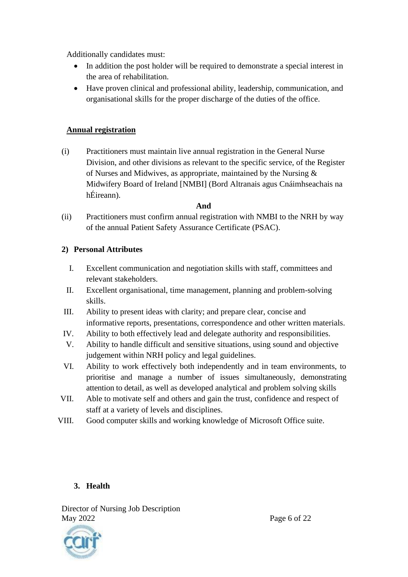Additionally candidates must:

- In addition the post holder will be required to demonstrate a special interest in the area of rehabilitation.
- Have proven clinical and professional ability, leadership, communication, and organisational skills for the proper discharge of the duties of the office.

#### **Annual registration**

(i) Practitioners must maintain live annual registration in the General Nurse Division, and other divisions as relevant to the specific service, of the Register of Nurses and Midwives, as appropriate, maintained by the Nursing & Midwifery Board of Ireland [NMBI] (Bord Altranais agus Cnáimhseachais na hÉireann).

#### **And**

(ii) Practitioners must confirm annual registration with NMBI to the NRH by way of the annual Patient Safety Assurance Certificate (PSAC).

### **2) Personal Attributes**

- I. Excellent communication and negotiation skills with staff, committees and relevant stakeholders.
- II. Excellent organisational, time management, planning and problem-solving skills.
- III. Ability to present ideas with clarity; and prepare clear, concise and informative reports, presentations, correspondence and other written materials.
- IV. Ability to both effectively lead and delegate authority and responsibilities.
- V. Ability to handle difficult and sensitive situations, using sound and objective judgement within NRH policy and legal guidelines.
- VI. Ability to work effectively both independently and in team environments, to prioritise and manage a number of issues simultaneously, demonstrating attention to detail, as well as developed analytical and problem solving skills
- VII. Able to motivate self and others and gain the trust, confidence and respect of staff at a variety of levels and disciplines.
- VIII. Good computer skills and working knowledge of Microsoft Office suite.

# **3. Health**

Director of Nursing Job Description May 2022 Page 6 of 22

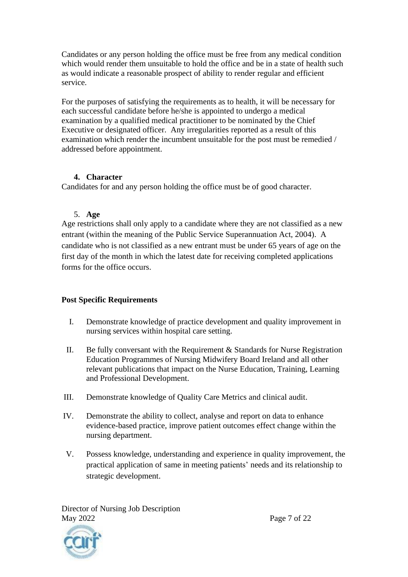Candidates or any person holding the office must be free from any medical condition which would render them unsuitable to hold the office and be in a state of health such as would indicate a reasonable prospect of ability to render regular and efficient service.

For the purposes of satisfying the requirements as to health, it will be necessary for each successful candidate before he/she is appointed to undergo a medical examination by a qualified medical practitioner to be nominated by the Chief Executive or designated officer. Any irregularities reported as a result of this examination which render the incumbent unsuitable for the post must be remedied / addressed before appointment.

### **4. Character**

Candidates for and any person holding the office must be of good character.

### 5. **Age**

Age restrictions shall only apply to a candidate where they are not classified as a new entrant (within the meaning of the Public Service Superannuation Act, 2004). A candidate who is not classified as a new entrant must be under 65 years of age on the first day of the month in which the latest date for receiving completed applications forms for the office occurs.

# **Post Specific Requirements**

- I. Demonstrate knowledge of practice development and quality improvement in nursing services within hospital care setting.
- II. Be fully conversant with the Requirement  $&$  Standards for Nurse Registration Education Programmes of Nursing Midwifery Board Ireland and all other relevant publications that impact on the Nurse Education, Training, Learning and Professional Development.
- III. Demonstrate knowledge of Quality Care Metrics and clinical audit.
- IV. Demonstrate the ability to collect, analyse and report on data to enhance evidence-based practice, improve patient outcomes effect change within the nursing department.
- V. Possess knowledge, understanding and experience in quality improvement, the practical application of same in meeting patients' needs and its relationship to strategic development.

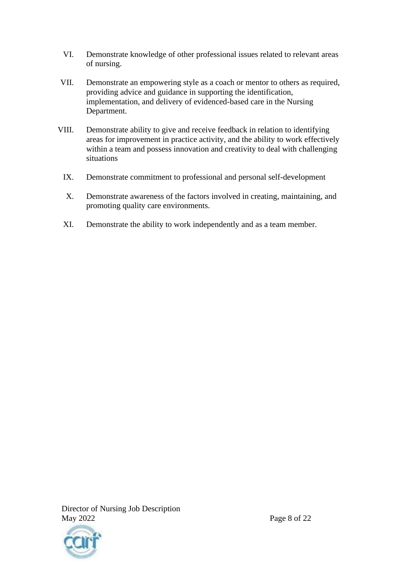- VI. Demonstrate knowledge of other professional issues related to relevant areas of nursing.
- VII. Demonstrate an empowering style as a coach or mentor to others as required, providing advice and guidance in supporting the identification, implementation, and delivery of evidenced-based care in the Nursing Department.
- VIII. Demonstrate ability to give and receive feedback in relation to identifying areas for improvement in practice activity, and the ability to work effectively within a team and possess innovation and creativity to deal with challenging situations
	- IX. Demonstrate commitment to professional and personal self-development
	- X. Demonstrate awareness of the factors involved in creating, maintaining, and promoting quality care environments.
	- XI. Demonstrate the ability to work independently and as a team member.



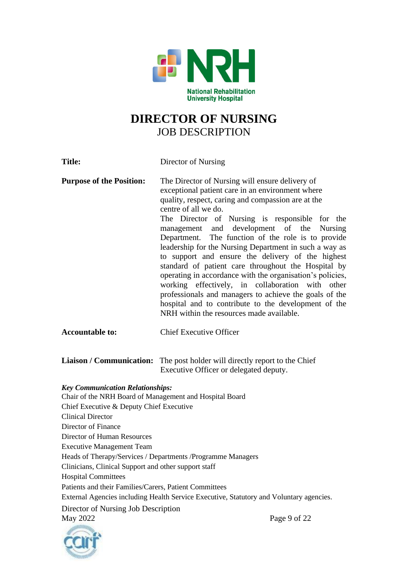

# **DIRECTOR OF NURSING** JOB DESCRIPTION

| <b>Title:</b>                                                                                      | Director of Nursing                                                                                                                                                                                                                                                                                                                                                                                                                                                                                                                                                                                                                                                                                                                                                                                   |
|----------------------------------------------------------------------------------------------------|-------------------------------------------------------------------------------------------------------------------------------------------------------------------------------------------------------------------------------------------------------------------------------------------------------------------------------------------------------------------------------------------------------------------------------------------------------------------------------------------------------------------------------------------------------------------------------------------------------------------------------------------------------------------------------------------------------------------------------------------------------------------------------------------------------|
| <b>Purpose of the Position:</b>                                                                    | The Director of Nursing will ensure delivery of<br>exceptional patient care in an environment where<br>quality, respect, caring and compassion are at the<br>centre of all we do.<br>The Director of Nursing is responsible for the<br>management and development of the<br><b>Nursing</b><br>Department. The function of the role is to provide<br>leadership for the Nursing Department in such a way as<br>to support and ensure the delivery of the highest<br>standard of patient care throughout the Hospital by<br>operating in accordance with the organisation's policies,<br>working effectively, in collaboration with other<br>professionals and managers to achieve the goals of the<br>hospital and to contribute to the development of the<br>NRH within the resources made available. |
| <b>Accountable to:</b>                                                                             | <b>Chief Executive Officer</b>                                                                                                                                                                                                                                                                                                                                                                                                                                                                                                                                                                                                                                                                                                                                                                        |
| <b>Liaison / Communication:</b>                                                                    | The post holder will directly report to the Chief<br>Executive Officer or delegated deputy.                                                                                                                                                                                                                                                                                                                                                                                                                                                                                                                                                                                                                                                                                                           |
| <b>Key Communication Relationships:</b><br>Chair of the NRH Board of Management and Hospital Board |                                                                                                                                                                                                                                                                                                                                                                                                                                                                                                                                                                                                                                                                                                                                                                                                       |
| Chief Executive & Deputy Chief Executive                                                           |                                                                                                                                                                                                                                                                                                                                                                                                                                                                                                                                                                                                                                                                                                                                                                                                       |
| <b>Clinical Director</b><br>Director of Finance                                                    |                                                                                                                                                                                                                                                                                                                                                                                                                                                                                                                                                                                                                                                                                                                                                                                                       |
| Director of Human Resources                                                                        |                                                                                                                                                                                                                                                                                                                                                                                                                                                                                                                                                                                                                                                                                                                                                                                                       |
| <b>Executive Management Team</b>                                                                   |                                                                                                                                                                                                                                                                                                                                                                                                                                                                                                                                                                                                                                                                                                                                                                                                       |
|                                                                                                    | Heads of Therapy/Services / Departments / Programme Managers                                                                                                                                                                                                                                                                                                                                                                                                                                                                                                                                                                                                                                                                                                                                          |
| Clinicians, Clinical Support and other support staff                                               |                                                                                                                                                                                                                                                                                                                                                                                                                                                                                                                                                                                                                                                                                                                                                                                                       |
| <b>Hospital Committees</b>                                                                         |                                                                                                                                                                                                                                                                                                                                                                                                                                                                                                                                                                                                                                                                                                                                                                                                       |
| Patients and their Families/Carers, Patient Committees                                             |                                                                                                                                                                                                                                                                                                                                                                                                                                                                                                                                                                                                                                                                                                                                                                                                       |
|                                                                                                    | External Agencies including Health Service Executive, Statutory and Voluntary agencies.                                                                                                                                                                                                                                                                                                                                                                                                                                                                                                                                                                                                                                                                                                               |
| Director of Nursing Job Description                                                                |                                                                                                                                                                                                                                                                                                                                                                                                                                                                                                                                                                                                                                                                                                                                                                                                       |
| May 2022                                                                                           | Page 9 of 22                                                                                                                                                                                                                                                                                                                                                                                                                                                                                                                                                                                                                                                                                                                                                                                          |
| <b>ABMARKOO</b>                                                                                    |                                                                                                                                                                                                                                                                                                                                                                                                                                                                                                                                                                                                                                                                                                                                                                                                       |

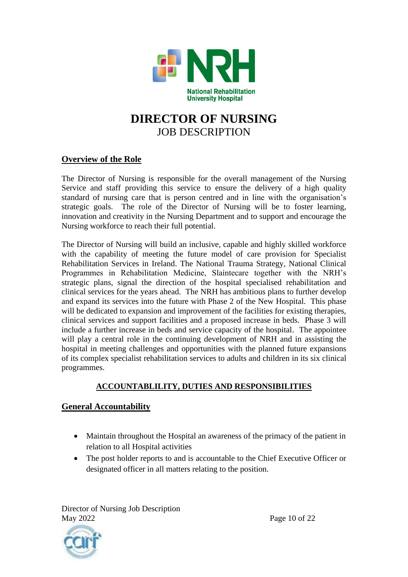

# **DIRECTOR OF NURSING** JOB DESCRIPTION

### **Overview of the Role**

The Director of Nursing is responsible for the overall management of the Nursing Service and staff providing this service to ensure the delivery of a high quality standard of nursing care that is person centred and in line with the organisation's strategic goals. The role of the Director of Nursing will be to foster learning, innovation and creativity in the Nursing Department and to support and encourage the Nursing workforce to reach their full potential.

The Director of Nursing will build an inclusive, capable and highly skilled workforce with the capability of meeting the future model of care provision for Specialist Rehabilitation Services in Ireland. The National Trauma Strategy, National Clinical Programmes in Rehabilitation Medicine, Slaíntecare together with the NRH's strategic plans, signal the direction of the hospital specialised rehabilitation and clinical services for the years ahead. The NRH has ambitious plans to further develop and expand its services into the future with Phase 2 of the New Hospital. This phase will be dedicated to expansion and improvement of the facilities for existing therapies, clinical services and support facilities and a proposed increase in beds. Phase 3 will include a further increase in beds and service capacity of the hospital. The appointee will play a central role in the continuing development of NRH and in assisting the hospital in meeting challenges and opportunities with the planned future expansions of its complex specialist rehabilitation services to adults and children in its six clinical programmes.

# **ACCOUNTABLILITY, DUTIES AND RESPONSIBILITIES**

# **General Accountability**

- Maintain throughout the Hospital an awareness of the primacy of the patient in relation to all Hospital activities
- The post holder reports to and is accountable to the Chief Executive Officer or designated officer in all matters relating to the position.

Director of Nursing Job Description May 2022 Page 10 of 22

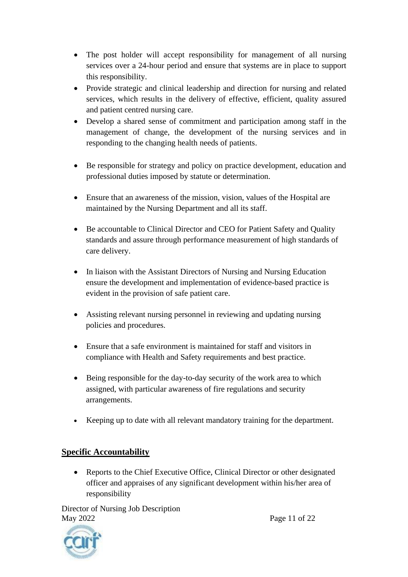- The post holder will accept responsibility for management of all nursing services over a 24-hour period and ensure that systems are in place to support this responsibility.
- Provide strategic and clinical leadership and direction for nursing and related services, which results in the delivery of effective, efficient, quality assured and patient centred nursing care.
- Develop a shared sense of commitment and participation among staff in the management of change, the development of the nursing services and in responding to the changing health needs of patients.
- Be responsible for strategy and policy on practice development, education and professional duties imposed by statute or determination.
- Ensure that an awareness of the mission, vision, values of the Hospital are maintained by the Nursing Department and all its staff.
- Be accountable to Clinical Director and CEO for Patient Safety and Quality standards and assure through performance measurement of high standards of care delivery.
- In liaison with the Assistant Directors of Nursing and Nursing Education ensure the development and implementation of evidence-based practice is evident in the provision of safe patient care.
- Assisting relevant nursing personnel in reviewing and updating nursing policies and procedures.
- Ensure that a safe environment is maintained for staff and visitors in compliance with Health and Safety requirements and best practice.
- Being responsible for the day-to-day security of the work area to which assigned, with particular awareness of fire regulations and security arrangements.
- Keeping up to date with all relevant mandatory training for the department.

# **Specific Accountability**

• Reports to the Chief Executive Office, Clinical Director or other designated officer and appraises of any significant development within his/her area of responsibility

Director of Nursing Job Description May 2022 **Page 11 of 22** 



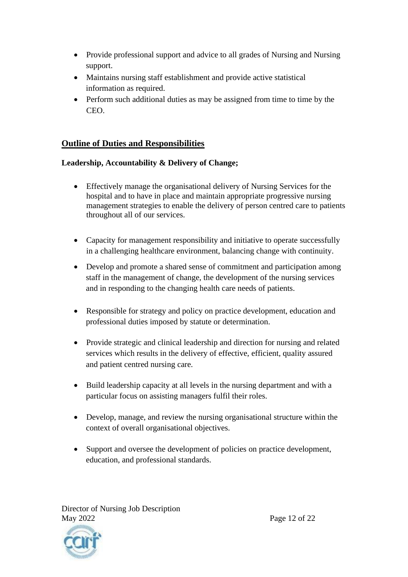- Provide professional support and advice to all grades of Nursing and Nursing support.
- Maintains nursing staff establishment and provide active statistical information as required.
- Perform such additional duties as may be assigned from time to time by the CEO.

# **Outline of Duties and Responsibilities**

# **Leadership, Accountability & Delivery of Change;**

- Effectively manage the organisational delivery of Nursing Services for the hospital and to have in place and maintain appropriate progressive nursing management strategies to enable the delivery of person centred care to patients throughout all of our services.
- Capacity for management responsibility and initiative to operate successfully in a challenging healthcare environment, balancing change with continuity.
- Develop and promote a shared sense of commitment and participation among staff in the management of change, the development of the nursing services and in responding to the changing health care needs of patients.
- Responsible for strategy and policy on practice development, education and professional duties imposed by statute or determination.
- Provide strategic and clinical leadership and direction for nursing and related services which results in the delivery of effective, efficient, quality assured and patient centred nursing care.
- Build leadership capacity at all levels in the nursing department and with a particular focus on assisting managers fulfil their roles.
- Develop, manage, and review the nursing organisational structure within the context of overall organisational objectives.
- Support and oversee the development of policies on practice development, education, and professional standards.

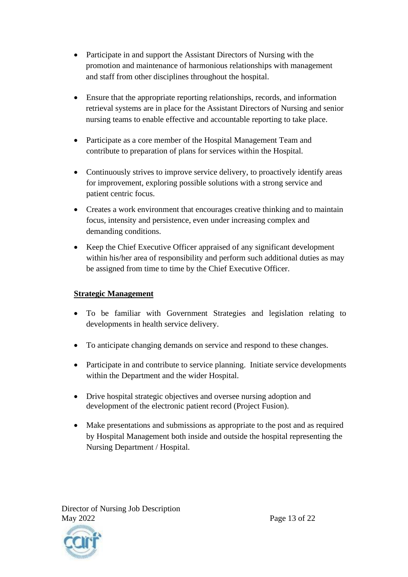- Participate in and support the Assistant Directors of Nursing with the promotion and maintenance of harmonious relationships with management and staff from other disciplines throughout the hospital.
- Ensure that the appropriate reporting relationships, records, and information retrieval systems are in place for the Assistant Directors of Nursing and senior nursing teams to enable effective and accountable reporting to take place.
- Participate as a core member of the Hospital Management Team and contribute to preparation of plans for services within the Hospital.
- Continuously strives to improve service delivery, to proactively identify areas for improvement, exploring possible solutions with a strong service and patient centric focus.
- Creates a work environment that encourages creative thinking and to maintain focus, intensity and persistence, even under increasing complex and demanding conditions.
- Keep the Chief Executive Officer appraised of any significant development within his/her area of responsibility and perform such additional duties as may be assigned from time to time by the Chief Executive Officer.

# **Strategic Management**

- To be familiar with Government Strategies and legislation relating to developments in health service delivery.
- To anticipate changing demands on service and respond to these changes.
- Participate in and contribute to service planning. Initiate service developments within the Department and the wider Hospital.
- Drive hospital strategic objectives and oversee nursing adoption and development of the electronic patient record (Project Fusion).
- Make presentations and submissions as appropriate to the post and as required by Hospital Management both inside and outside the hospital representing the Nursing Department / Hospital.

Director of Nursing Job Description May 2022 Page 13 of 22

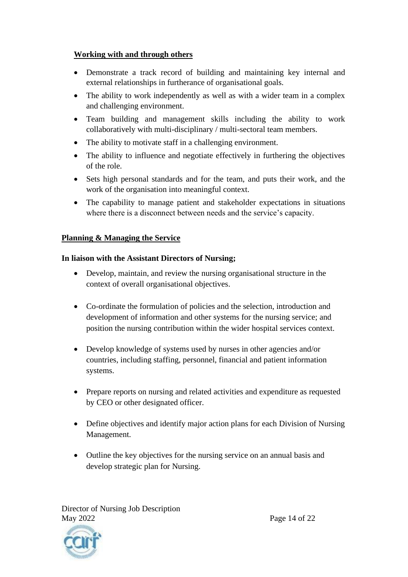#### **Working with and through others**

- Demonstrate a track record of building and maintaining key internal and external relationships in furtherance of organisational goals.
- The ability to work independently as well as with a wider team in a complex and challenging environment.
- Team building and management skills including the ability to work collaboratively with multi-disciplinary / multi-sectoral team members.
- The ability to motivate staff in a challenging environment.
- The ability to influence and negotiate effectively in furthering the objectives of the role.
- Sets high personal standards and for the team, and puts their work, and the work of the organisation into meaningful context.
- The capability to manage patient and stakeholder expectations in situations where there is a disconnect between needs and the service's capacity.

### **Planning & Managing the Service**

### **In liaison with the Assistant Directors of Nursing;**

- Develop, maintain, and review the nursing organisational structure in the context of overall organisational objectives.
- Co-ordinate the formulation of policies and the selection, introduction and development of information and other systems for the nursing service; and position the nursing contribution within the wider hospital services context.
- Develop knowledge of systems used by nurses in other agencies and/or countries, including staffing, personnel, financial and patient information systems.
- Prepare reports on nursing and related activities and expenditure as requested by CEO or other designated officer.
- Define objectives and identify major action plans for each Division of Nursing Management.
- Outline the key objectives for the nursing service on an annual basis and develop strategic plan for Nursing.

Director of Nursing Job Description May 2022 Page 14 of 22

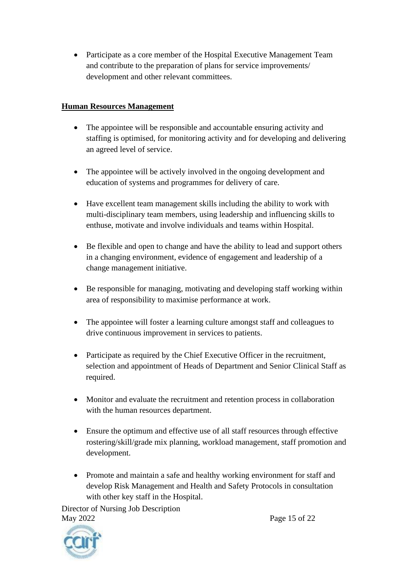• Participate as a core member of the Hospital Executive Management Team and contribute to the preparation of plans for service improvements/ development and other relevant committees.

## **Human Resources Management**

- The appointee will be responsible and accountable ensuring activity and staffing is optimised, for monitoring activity and for developing and delivering an agreed level of service.
- The appointee will be actively involved in the ongoing development and education of systems and programmes for delivery of care.
- Have excellent team management skills including the ability to work with multi-disciplinary team members, using leadership and influencing skills to enthuse, motivate and involve individuals and teams within Hospital.
- Be flexible and open to change and have the ability to lead and support others in a changing environment, evidence of engagement and leadership of a change management initiative.
- Be responsible for managing, motivating and developing staff working within area of responsibility to maximise performance at work.
- The appointee will foster a learning culture amongst staff and colleagues to drive continuous improvement in services to patients.
- Participate as required by the Chief Executive Officer in the recruitment, selection and appointment of Heads of Department and Senior Clinical Staff as required.
- Monitor and evaluate the recruitment and retention process in collaboration with the human resources department.
- Ensure the optimum and effective use of all staff resources through effective rostering/skill/grade mix planning, workload management, staff promotion and development.
- Promote and maintain a safe and healthy working environment for staff and develop Risk Management and Health and Safety Protocols in consultation with other key staff in the Hospital.

Director of Nursing Job Description May 2022 Page 15 of 22

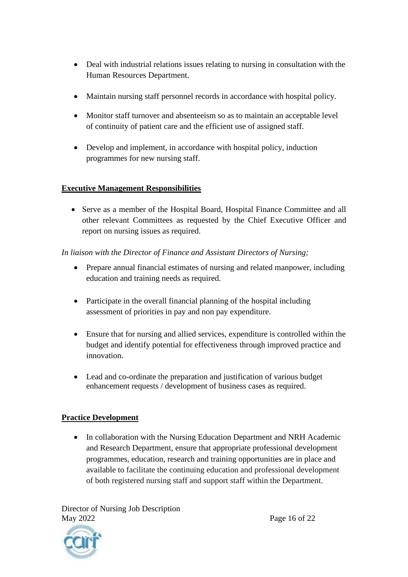- Deal with industrial relations issues relating to nursing in consultation with the Human Resources Department.
- Maintain nursing staff personnel records in accordance with hospital policy.
- Monitor staff turnover and absenteeism so as to maintain an acceptable level of continuity of patient care and the efficient use of assigned staff.
- Develop and implement, in accordance with hospital policy, induction programmes for new nursing staff.

# **Executive Management Responsibilities**

• Serve as a member of the Hospital Board, Hospital Finance Committee and all other relevant Committees as requested by the Chief Executive Officer and report on nursing issues as required.

# *In liaison with the Director of Finance and Assistant Directors of Nursing;*

- Prepare annual financial estimates of nursing and related manpower, including education and training needs as required.
- Participate in the overall financial planning of the hospital including assessment of priorities in pay and non pay expenditure.
- Ensure that for nursing and allied services, expenditure is controlled within the budget and identify potential for effectiveness through improved practice and innovation.
- Lead and co-ordinate the preparation and justification of various budget enhancement requests / development of business cases as required.

# **Practice Development**

• In collaboration with the Nursing Education Department and NRH Academic and Research Department, ensure that appropriate professional development programmes, education, research and training opportunities are in place and available to facilitate the continuing education and professional development of both registered nursing staff and support staff within the Department.

Director of Nursing Job Description May 2022 Page 16 of 22

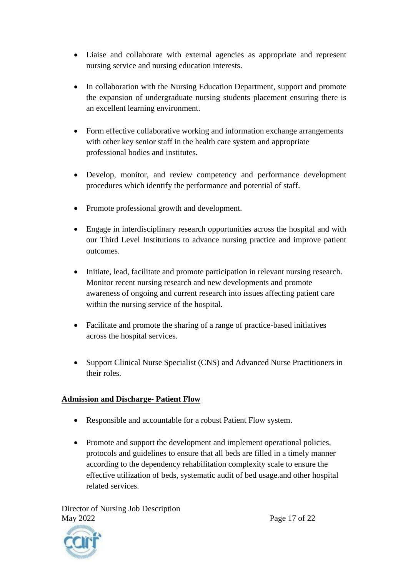- Liaise and collaborate with external agencies as appropriate and represent nursing service and nursing education interests.
- In collaboration with the Nursing Education Department, support and promote the expansion of undergraduate nursing students placement ensuring there is an excellent learning environment.
- Form effective collaborative working and information exchange arrangements with other key senior staff in the health care system and appropriate professional bodies and institutes.
- Develop, monitor, and review competency and performance development procedures which identify the performance and potential of staff.
- Promote professional growth and development.
- Engage in interdisciplinary research opportunities across the hospital and with our Third Level Institutions to advance nursing practice and improve patient outcomes.
- Initiate, lead, facilitate and promote participation in relevant nursing research. Monitor recent nursing research and new developments and promote awareness of ongoing and current research into issues affecting patient care within the nursing service of the hospital.
- Facilitate and promote the sharing of a range of practice-based initiatives across the hospital services.
- Support Clinical Nurse Specialist (CNS) and Advanced Nurse Practitioners in their roles.

# **Admission and Discharge- Patient Flow**

- Responsible and accountable for a robust Patient Flow system.
- Promote and support the development and implement operational policies, protocols and guidelines to ensure that all beds are filled in a timely manner according to the dependency rehabilitation complexity scale to ensure the effective utilization of beds, systematic audit of bed usage.and other hospital related services.

Director of Nursing Job Description May 2022 Page 17 of 22

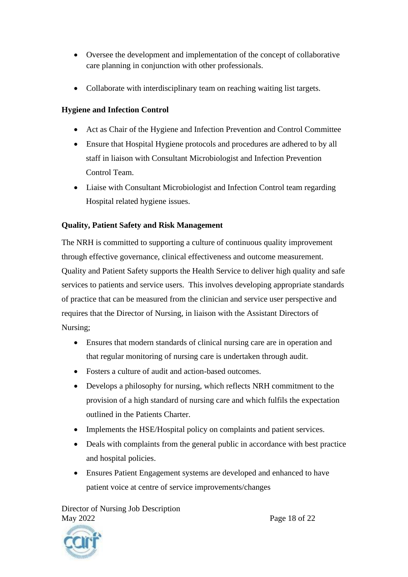- Oversee the development and implementation of the concept of collaborative care planning in conjunction with other professionals.
- Collaborate with interdisciplinary team on reaching waiting list targets.

# **Hygiene and Infection Control**

- Act as Chair of the Hygiene and Infection Prevention and Control Committee
- Ensure that Hospital Hygiene protocols and procedures are adhered to by all staff in liaison with Consultant Microbiologist and Infection Prevention Control Team.
- Liaise with Consultant Microbiologist and Infection Control team regarding Hospital related hygiene issues.

# **Quality, Patient Safety and Risk Management**

The NRH is committed to supporting a culture of continuous quality improvement through effective governance, clinical effectiveness and outcome measurement. Quality and Patient Safety supports the Health Service to deliver high quality and safe services to patients and service users. This involves developing appropriate standards of practice that can be measured from the clinician and service user perspective and requires that the Director of Nursing, in liaison with the Assistant Directors of Nursing;

- Ensures that modern standards of clinical nursing care are in operation and that regular monitoring of nursing care is undertaken through audit.
- Fosters a culture of audit and action-based outcomes.
- Develops a philosophy for nursing, which reflects NRH commitment to the provision of a high standard of nursing care and which fulfils the expectation outlined in the Patients Charter.
- Implements the HSE/Hospital policy on complaints and patient services.
- Deals with complaints from the general public in accordance with best practice and hospital policies.
- Ensures Patient Engagement systems are developed and enhanced to have patient voice at centre of service improvements/changes

Director of Nursing Job Description May 2022 Page 18 of 22



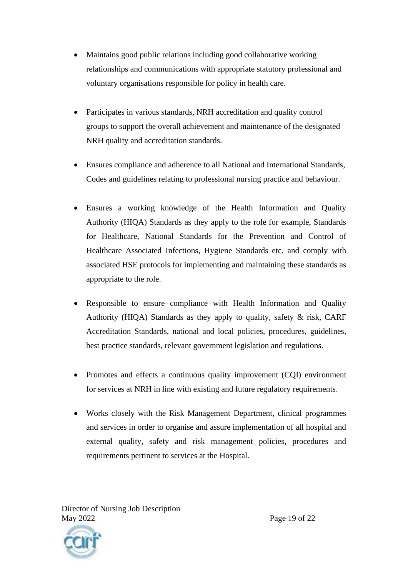- Maintains good public relations including good collaborative working relationships and communications with appropriate statutory professional and voluntary organisations responsible for policy in health care.
- Participates in various standards, NRH accreditation and quality control groups to support the overall achievement and maintenance of the designated NRH quality and accreditation standards.
- Ensures compliance and adherence to all National and International Standards, Codes and guidelines relating to professional nursing practice and behaviour.
- Ensures a working knowledge of the Health Information and Quality Authority (HIQA) Standards as they apply to the role for example, Standards for Healthcare, National Standards for the Prevention and Control of Healthcare Associated Infections, Hygiene Standards etc. and comply with associated HSE protocols for implementing and maintaining these standards as appropriate to the role.
- Responsible to ensure compliance with Health Information and Quality Authority (HIQA) Standards as they apply to quality, safety  $\&$  risk, CARF Accreditation Standards, national and local policies, procedures, guidelines, best practice standards, relevant government legislation and regulations.
- Promotes and effects a continuous quality improvement (CQI) environment for services at NRH in line with existing and future regulatory requirements.
- Works closely with the Risk Management Department, clinical programmes and services in order to organise and assure implementation of all hospital and external quality, safety and risk management policies, procedures and requirements pertinent to services at the Hospital.

Director of Nursing Job Description May 2022 **Page 19 of 22** 

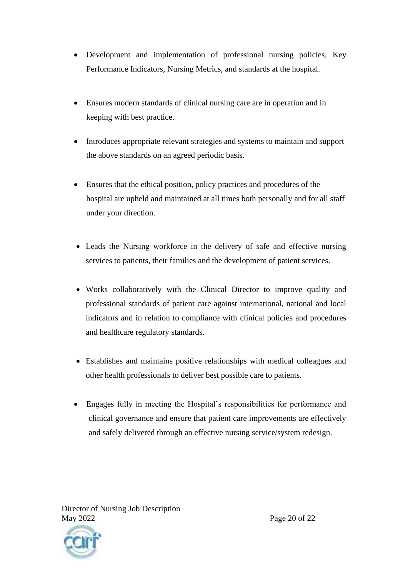- Development and implementation of professional nursing policies, Key Performance Indicators, Nursing Metrics, and standards at the hospital.
- Ensures modern standards of clinical nursing care are in operation and in keeping with best practice.
- Introduces appropriate relevant strategies and systems to maintain and support the above standards on an agreed periodic basis.
- Ensures that the ethical position, policy practices and procedures of the hospital are upheld and maintained at all times both personally and for all staff under your direction.
- Leads the Nursing workforce in the delivery of safe and effective nursing services to patients, their families and the development of patient services.
- Works collaboratively with the Clinical Director to improve quality and professional standards of patient care against international, national and local indicators and in relation to compliance with clinical policies and procedures and healthcare regulatory standards.
- Establishes and maintains positive relationships with medical colleagues and other health professionals to deliver best possible care to patients.
- Engages fully in meeting the Hospital's responsibilities for performance and clinical governance and ensure that patient care improvements are effectively and safely delivered through an effective nursing service/system redesign.



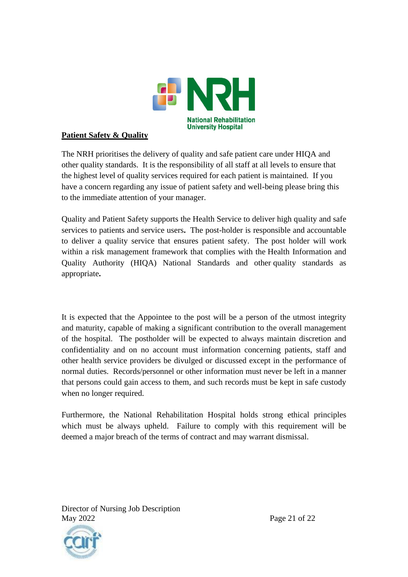

### **Patient Safety & Quality**

The NRH prioritises the delivery of quality and safe patient care under HIQA and other quality standards. It is the responsibility of all staff at all levels to ensure that the highest level of quality services required for each patient is maintained. If you have a concern regarding any issue of patient safety and well-being please bring this to the immediate attention of your manager.

Quality and Patient Safety supports the Health Service to deliver high quality and safe services to patients and service users**.** The post-holder is responsible and accountable to deliver a quality service that ensures patient safety. The post holder will work within a risk management framework that complies with the Health Information and Quality Authority (HIQA) National Standards and other quality standards as appropriate**.**

It is expected that the Appointee to the post will be a person of the utmost integrity and maturity, capable of making a significant contribution to the overall management of the hospital. The postholder will be expected to always maintain discretion and confidentiality and on no account must information concerning patients, staff and other health service providers be divulged or discussed except in the performance of normal duties. Records/personnel or other information must never be left in a manner that persons could gain access to them, and such records must be kept in safe custody when no longer required.

Furthermore, the National Rehabilitation Hospital holds strong ethical principles which must be always upheld. Failure to comply with this requirement will be deemed a major breach of the terms of contract and may warrant dismissal.

Director of Nursing Job Description May 2022 **Page 21 of 22**